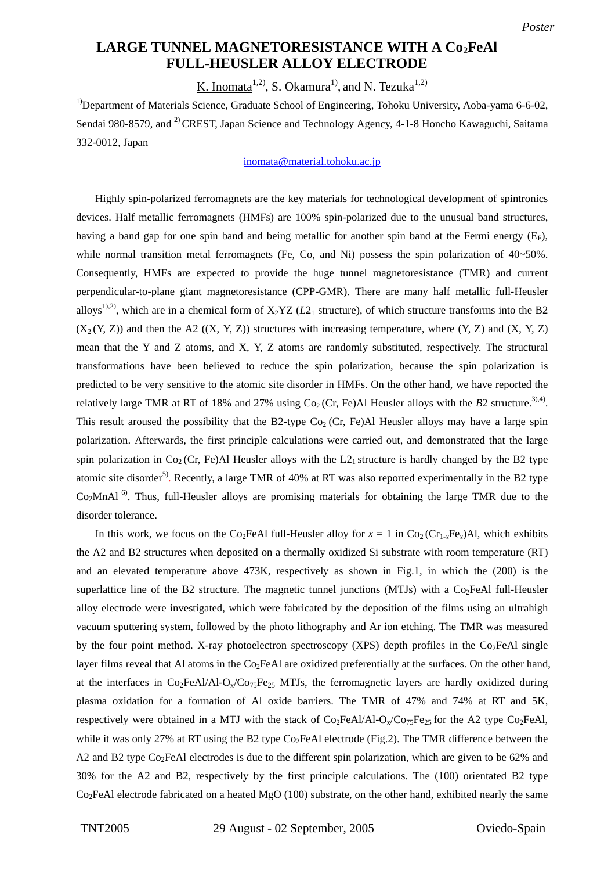## **Large Tunnel Magnetoresistance with a Co2FeAl Full-Heusler Alloy Electrode FULL-HEUSLER ALLOY ELECTRODE LARGE TUNNEL MAGNETORESISTANCE WITH A Co<sub>2</sub>FeAl**

K. Inomata<sup>1,2)</sup>, S. Okamura<sup>1)</sup>, and N. Tezuka<sup>1,2)</sup>

<sup>1)</sup>Department of Materials Science, Graduate School of Engineering, Tohoku University, Aoba-yama 6-6-02, Sendai 980-8579, and <sup>2)</sup> CREST, Japan Science and Technology Agency, 4-1-8 Honcho Kawaguchi, Saitama 332-0012, Japan

[inomata@material.tohoku.ac.jp](mailto:inomata@material.tohoku.ac.jp)

Highly spin-polarized ferromagnets are the key materials for technological development of spintronics devices. Half metallic ferromagnets (HMFs) are 100% spin-polarized due to the unusual band structures, having a band gap for one spin band and being metallic for another spin band at the Fermi energy  $(E_F)$ , while normal transition metal ferromagnets (Fe, Co, and Ni) possess the spin polarization of 40~50%. Consequently, HMFs are expected to provide the huge tunnel magnetoresistance (TMR) and current perpendicular-to-plane giant magnetoresistance (CPP-GMR). There are many half metallic full-Heusler alloys<sup>1),2)</sup>, which are in a chemical form of  $X_2$ YZ ( $L2_1$  structure), of which structure transforms into the B2  $(X_2(Y, Z))$  and then the A2  $((X, Y, Z))$  structures with increasing temperature, where  $(Y, Z)$  and  $(X, Y, Z)$ mean that the Y and Z atoms, and X, Y, Z atoms are randomly substituted, respectively. The structural transformations have been believed to reduce the spin polarization, because the spin polarization is predicted to be very sensitive to the atomic site disorder in HMFs. On the other hand, we have reported the relatively large TMR at RT of 18% and 27% using  $Co_2$  (Cr, Fe)Al Heusler alloys with the *B*2 structure.<sup>3),4)</sup>. This result aroused the possibility that the B2-type  $Co_2(Cr, Fe)$ Al Heusler alloys may have a large spin polarization. Afterwards, the first principle calculations were carried out, and demonstrated that the large spin polarization in Co<sub>2</sub> (Cr, Fe)Al Heusler alloys with the L<sub>21</sub> structure is hardly changed by the B2 type atomic site disorder<sup>5)</sup>. Recently, a large TMR of 40% at RT was also reported experimentally in the B2 type  $Co<sub>2</sub>MnAl<sup>6</sup>$ . Thus, full-Heusler alloys are promising materials for obtaining the large TMR due to the disorder tolerance.

In this work, we focus on the Co<sub>2</sub>FeAl full-Heusler alloy for  $x = 1$  in Co<sub>2</sub>(Cr<sub>1-*x*Fe<sub>x</sub>)Al, which exhibits</sub> the A2 and B2 structures when deposited on a thermally oxidized Si substrate with room temperature (RT) and an elevated temperature above 473K, respectively as shown in Fig.1, in which the (200) is the superlattice line of the B2 structure. The magnetic tunnel junctions (MTJs) with a  $Co<sub>2</sub>FeAl$  full-Heusler alloy electrode were investigated, which were fabricated by the deposition of the films using an ultrahigh vacuum sputtering system, followed by the photo lithography and Ar ion etching. The TMR was measured by the four point method. X-ray photoelectron spectroscopy (XPS) depth profiles in the  $Co<sub>2</sub>FeAl$  single layer films reveal that Al atoms in the  $Co<sub>2</sub>FeAl$  are oxidized preferentially at the surfaces. On the other hand, at the interfaces in  $Co_2FeAl/Al-O_x/Co_{75}Fe_{25}$  MTJs, the ferromagnetic layers are hardly oxidized during plasma oxidation for a formation of Al oxide barriers. The TMR of 47% and 74% at RT and 5K, respectively were obtained in a MTJ with the stack of  $Co_2FeAl/Al-O_x/Co_{75}Fe_{25}$  for the A2 type  $Co_2FeAl$ , while it was only 27% at RT using the B2 type Co<sub>2</sub>FeAl electrode (Fig.2). The TMR difference between the A2 and B2 type Co<sub>2</sub>FeAl electrodes is due to the different spin polarization, which are given to be 62% and 30% for the A2 and B2, respectively by the first principle calculations. The (100) orientated B2 type Co2FeAl electrode fabricated on a heated MgO (100) substrate, on the other hand, exhibited nearly the same